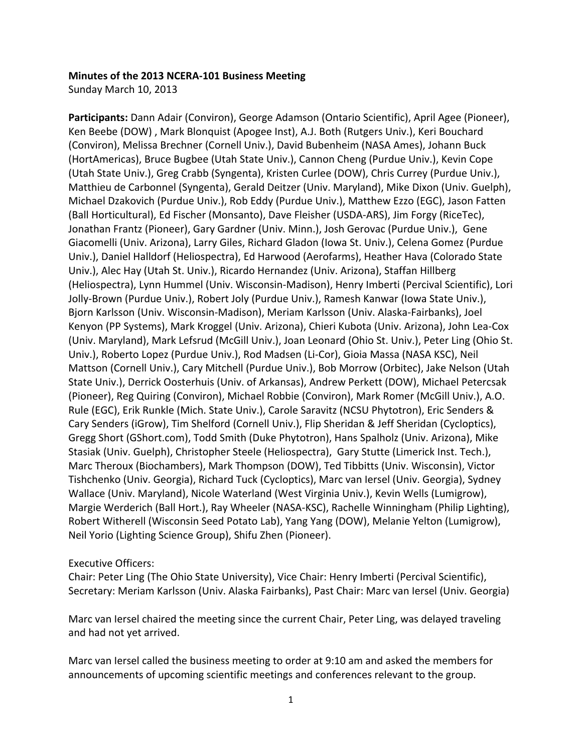#### **Minutes of the 2013 NCERA-101 Business Meeting**

Sunday March 10, 2013

Participants: Dann Adair (Conviron), George Adamson (Ontario Scientific), April Agee (Pioneer), Ken Beebe (DOW), Mark Blonquist (Apogee Inst), A.J. Both (Rutgers Univ.), Keri Bouchard (Conviron), Melissa Brechner (Cornell Univ.), David Bubenheim (NASA Ames), Johann Buck (HortAmericas), Bruce Bugbee (Utah State Univ.), Cannon Cheng (Purdue Univ.), Kevin Cope (Utah State Univ.), Greg Crabb (Syngenta), Kristen Curlee (DOW), Chris Currey (Purdue Univ.), Matthieu de Carbonnel (Syngenta), Gerald Deitzer (Univ. Maryland), Mike Dixon (Univ. Guelph), Michael Dzakovich (Purdue Univ.), Rob Eddy (Purdue Univ.), Matthew Ezzo (EGC), Jason Fatten (Ball Horticultural), Ed Fischer (Monsanto), Dave Fleisher (USDA-ARS), Jim Forgy (RiceTec), Jonathan Frantz (Pioneer), Gary Gardner (Univ. Minn.), Josh Gerovac (Purdue Univ.), Gene Giacomelli (Univ. Arizona), Larry Giles, Richard Gladon (Iowa St. Univ.), Celena Gomez (Purdue Univ.), Daniel Halldorf (Heliospectra), Ed Harwood (Aerofarms), Heather Hava (Colorado State Univ.), Alec Hay (Utah St. Univ.), Ricardo Hernandez (Univ. Arizona), Staffan Hillberg (Heliospectra), Lynn Hummel (Univ. Wisconsin-Madison), Henry Imberti (Percival Scientific), Lori Jolly-Brown (Purdue Univ.), Robert Joly (Purdue Univ.), Ramesh Kanwar (Iowa State Univ.), Bjorn Karlsson (Univ. Wisconsin-Madison), Meriam Karlsson (Univ. Alaska-Fairbanks), Joel Kenyon (PP Systems), Mark Kroggel (Univ. Arizona), Chieri Kubota (Univ. Arizona), John Lea-Cox (Univ. Maryland), Mark Lefsrud (McGill Univ.), Joan Leonard (Ohio St. Univ.), Peter Ling (Ohio St. Univ.), Roberto Lopez (Purdue Univ.), Rod Madsen (Li-Cor), Gioia Massa (NASA KSC), Neil Mattson (Cornell Univ.), Cary Mitchell (Purdue Univ.), Bob Morrow (Orbitec), Jake Nelson (Utah State Univ.), Derrick Oosterhuis (Univ. of Arkansas), Andrew Perkett (DOW), Michael Petercsak (Pioneer), Reg Quiring (Conviron), Michael Robbie (Conviron), Mark Romer (McGill Univ.), A.O. Rule (EGC), Erik Runkle (Mich. State Univ.), Carole Saravitz (NCSU Phytotron), Eric Senders & Cary Senders (iGrow), Tim Shelford (Cornell Univ.), Flip Sheridan & Jeff Sheridan (Cycloptics), Gregg Short (GShort.com), Todd Smith (Duke Phytotron), Hans Spalholz (Univ. Arizona), Mike Stasiak (Univ. Guelph), Christopher Steele (Heliospectra), Gary Stutte (Limerick Inst. Tech.), Marc Theroux (Biochambers), Mark Thompson (DOW), Ted Tibbitts (Univ. Wisconsin), Victor Tishchenko (Univ. Georgia), Richard Tuck (Cycloptics), Marc van Iersel (Univ. Georgia), Sydney Wallace (Univ. Maryland), Nicole Waterland (West Virginia Univ.), Kevin Wells (Lumigrow), Margie Werderich (Ball Hort.), Ray Wheeler (NASA-KSC), Rachelle Winningham (Philip Lighting), Robert Witherell (Wisconsin Seed Potato Lab), Yang Yang (DOW), Melanie Yelton (Lumigrow), Neil Yorio (Lighting Science Group), Shifu Zhen (Pioneer).

#### Executive Officers:

Chair: Peter Ling (The Ohio State University), Vice Chair: Henry Imberti (Percival Scientific), Secretary: Meriam Karlsson (Univ. Alaska Fairbanks), Past Chair: Marc van Iersel (Univ. Georgia)

Marc van Iersel chaired the meeting since the current Chair, Peter Ling, was delayed traveling and had not yet arrived.

Marc van Iersel called the business meeting to order at 9:10 am and asked the members for announcements of upcoming scientific meetings and conferences relevant to the group.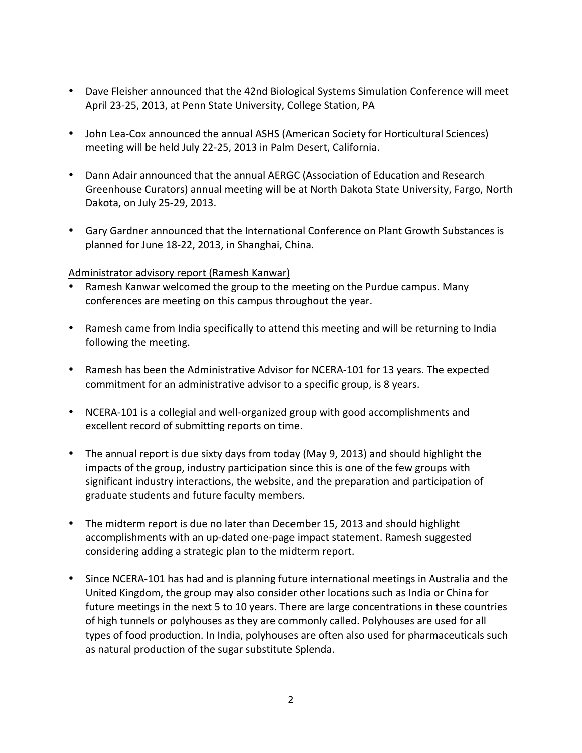- Dave Fleisher announced that the 42nd Biological Systems Simulation Conference will meet April 23-25, 2013, at Penn State University, College Station, PA
- John Lea-Cox announced the annual ASHS (American Society for Horticultural Sciences) meeting will be held July 22-25, 2013 in Palm Desert, California.
- Dann Adair announced that the annual AERGC (Association of Education and Research Greenhouse Curators) annual meeting will be at North Dakota State University, Fargo, North Dakota, on July 25-29, 2013.
- Gary Gardner announced that the International Conference on Plant Growth Substances is planned for June 18-22, 2013, in Shanghai, China.

#### Administrator advisory report (Ramesh Kanwar)

- Ramesh Kanwar welcomed the group to the meeting on the Purdue campus. Many conferences are meeting on this campus throughout the year.
- Ramesh came from India specifically to attend this meeting and will be returning to India following the meeting.
- Ramesh has been the Administrative Advisor for NCERA-101 for 13 years. The expected commitment for an administrative advisor to a specific group, is 8 years.
- NCERA-101 is a collegial and well-organized group with good accomplishments and excellent record of submitting reports on time.
- The annual report is due sixty days from today (May 9, 2013) and should highlight the impacts of the group, industry participation since this is one of the few groups with significant industry interactions, the website, and the preparation and participation of graduate students and future faculty members.
- The midterm report is due no later than December 15, 2013 and should highlight accomplishments with an up-dated one-page impact statement. Ramesh suggested considering adding a strategic plan to the midterm report.
- Since NCERA-101 has had and is planning future international meetings in Australia and the United Kingdom, the group may also consider other locations such as India or China for future meetings in the next 5 to 10 years. There are large concentrations in these countries of high tunnels or polyhouses as they are commonly called. Polyhouses are used for all types of food production. In India, polyhouses are often also used for pharmaceuticals such as natural production of the sugar substitute Splenda.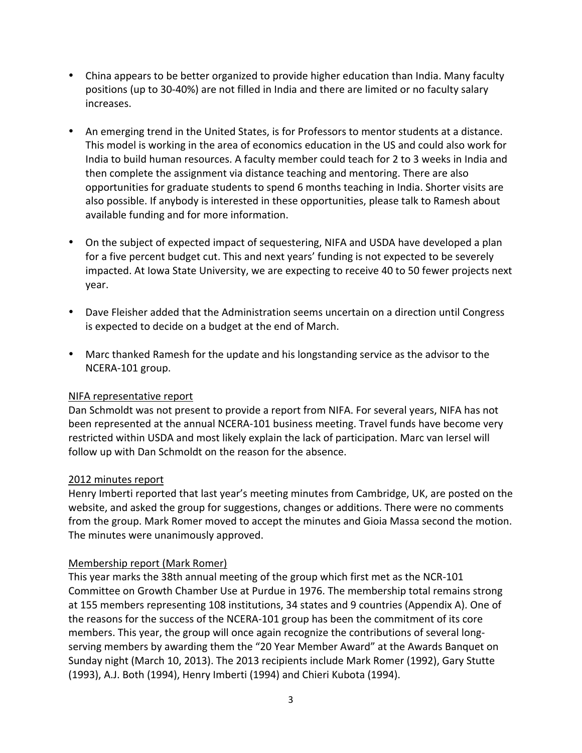- China appears to be better organized to provide higher education than India. Many faculty positions (up to 30-40%) are not filled in India and there are limited or no faculty salary increases.
- An emerging trend in the United States, is for Professors to mentor students at a distance. This model is working in the area of economics education in the US and could also work for India to build human resources. A faculty member could teach for 2 to 3 weeks in India and then complete the assignment via distance teaching and mentoring. There are also opportunities for graduate students to spend 6 months teaching in India. Shorter visits are also possible. If anybody is interested in these opportunities, please talk to Ramesh about available funding and for more information.
- On the subject of expected impact of sequestering, NIFA and USDA have developed a plan for a five percent budget cut. This and next years' funding is not expected to be severely impacted. At Iowa State University, we are expecting to receive 40 to 50 fewer projects next year.
- Dave Fleisher added that the Administration seems uncertain on a direction until Congress is expected to decide on a budget at the end of March.
- Marc thanked Ramesh for the update and his longstanding service as the advisor to the NCERA-101 group.

## NIFA representative report

Dan Schmoldt was not present to provide a report from NIFA. For several years, NIFA has not been represented at the annual NCERA-101 business meeting. Travel funds have become very restricted within USDA and most likely explain the lack of participation. Marc van Iersel will follow up with Dan Schmoldt on the reason for the absence.

#### 2012 minutes report

Henry Imberti reported that last year's meeting minutes from Cambridge, UK, are posted on the website, and asked the group for suggestions, changes or additions. There were no comments from the group. Mark Romer moved to accept the minutes and Gioia Massa second the motion. The minutes were unanimously approved.

#### Membership report (Mark Romer)

This year marks the 38th annual meeting of the group which first met as the NCR-101 Committee on Growth Chamber Use at Purdue in 1976. The membership total remains strong at 155 members representing 108 institutions, 34 states and 9 countries (Appendix A). One of the reasons for the success of the NCERA-101 group has been the commitment of its core members. This year, the group will once again recognize the contributions of several longserving members by awarding them the "20 Year Member Award" at the Awards Banquet on Sunday night (March 10, 2013). The 2013 recipients include Mark Romer (1992), Gary Stutte (1993), A.J. Both (1994), Henry Imberti (1994) and Chieri Kubota (1994).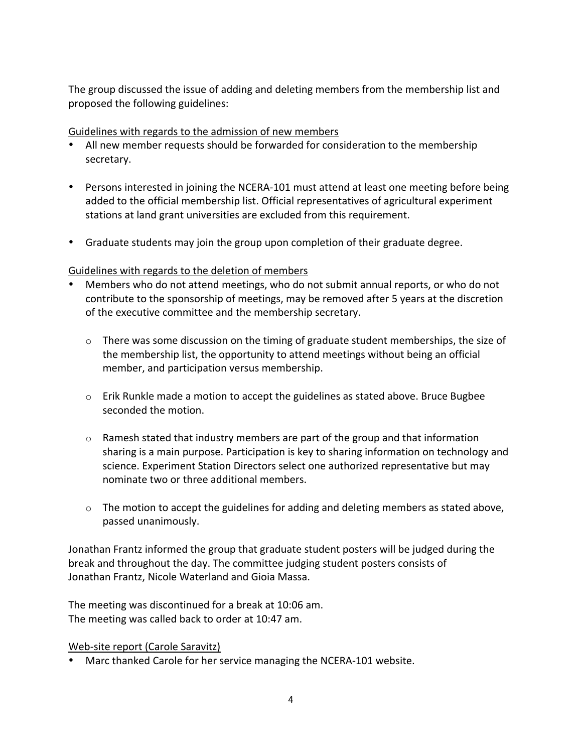The group discussed the issue of adding and deleting members from the membership list and proposed the following guidelines:

#### Guidelines with regards to the admission of new members

- All new member requests should be forwarded for consideration to the membership secretary.
- Persons interested in joining the NCERA-101 must attend at least one meeting before being added to the official membership list. Official representatives of agricultural experiment stations at land grant universities are excluded from this requirement.
- Graduate students may join the group upon completion of their graduate degree.

## Guidelines with regards to the deletion of members

- Members who do not attend meetings, who do not submit annual reports, or who do not contribute to the sponsorship of meetings, may be removed after 5 years at the discretion of the executive committee and the membership secretary.
	- $\circ$  There was some discussion on the timing of graduate student memberships, the size of the membership list, the opportunity to attend meetings without being an official member, and participation versus membership.
	- $\circ$  Erik Runkle made a motion to accept the guidelines as stated above. Bruce Bugbee seconded the motion.
	- $\circ$  Ramesh stated that industry members are part of the group and that information sharing is a main purpose. Participation is key to sharing information on technology and science. Experiment Station Directors select one authorized representative but may nominate two or three additional members.
	- $\circ$  The motion to accept the guidelines for adding and deleting members as stated above, passed unanimously.

Jonathan Frantz informed the group that graduate student posters will be judged during the break and throughout the day. The committee judging student posters consists of Jonathan Frantz, Nicole Waterland and Gioia Massa.

The meeting was discontinued for a break at 10:06 am. The meeting was called back to order at 10:47 am.

Web-site report (Carole Saravitz)

• Marc thanked Carole for her service managing the NCERA-101 website.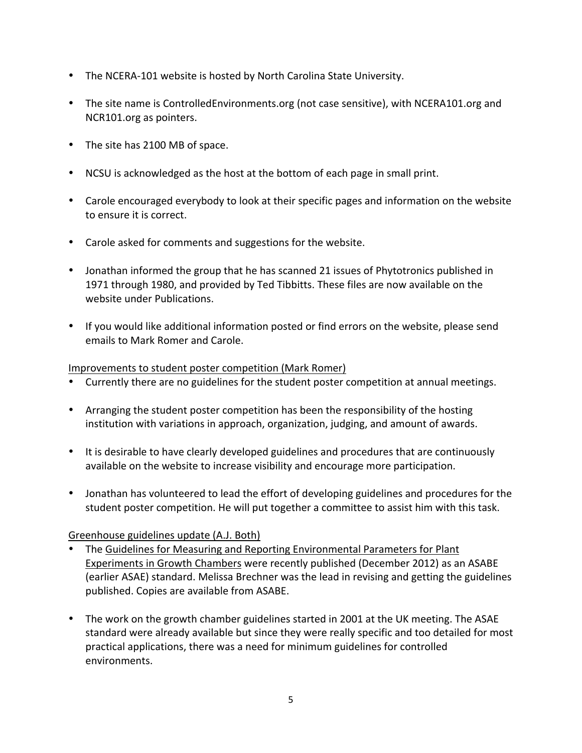- The NCERA-101 website is hosted by North Carolina State University.
- The site name is ControlledEnvironments.org (not case sensitive), with NCERA101.org and NCR101.org as pointers.
- The site has 2100 MB of space.
- NCSU is acknowledged as the host at the bottom of each page in small print.
- Carole encouraged everybody to look at their specific pages and information on the website to ensure it is correct.
- Carole asked for comments and suggestions for the website.
- Jonathan informed the group that he has scanned 21 issues of Phytotronics published in 1971 through 1980, and provided by Ted Tibbitts. These files are now available on the website under Publications.
- If you would like additional information posted or find errors on the website, please send emails to Mark Romer and Carole.

#### Improvements to student poster competition (Mark Romer)

- Currently there are no guidelines for the student poster competition at annual meetings.
- Arranging the student poster competition has been the responsibility of the hosting institution with variations in approach, organization, judging, and amount of awards.
- It is desirable to have clearly developed guidelines and procedures that are continuously available on the website to increase visibility and encourage more participation.
- Jonathan has volunteered to lead the effort of developing guidelines and procedures for the student poster competition. He will put together a committee to assist him with this task.

#### Greenhouse guidelines update (A.J. Both)

- The Guidelines for Measuring and Reporting Environmental Parameters for Plant Experiments in Growth Chambers were recently published (December 2012) as an ASABE (earlier ASAE) standard. Melissa Brechner was the lead in revising and getting the guidelines published. Copies are available from ASABE.
- The work on the growth chamber guidelines started in 2001 at the UK meeting. The ASAE standard were already available but since they were really specific and too detailed for most practical applications, there was a need for minimum guidelines for controlled environments.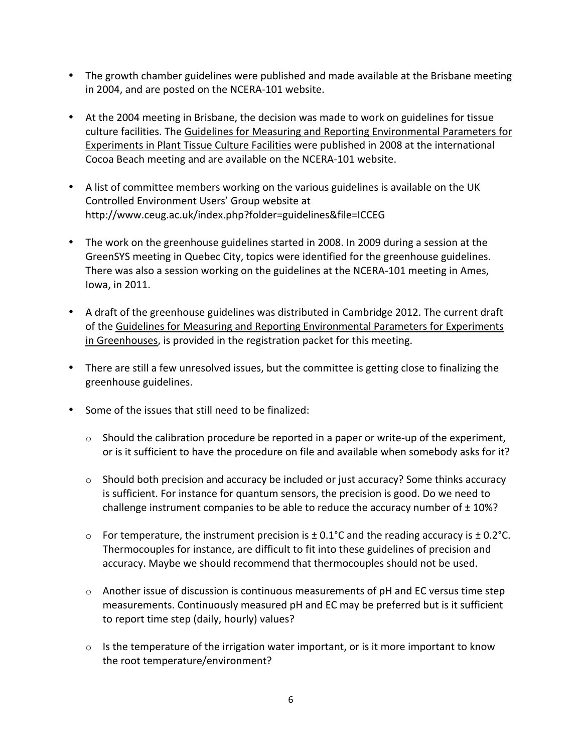- The growth chamber guidelines were published and made available at the Brisbane meeting" in 2004, and are posted on the NCERA-101 website.
- At the 2004 meeting in Brisbane, the decision was made to work on guidelines for tissue culture facilities. The Guidelines for Measuring and Reporting Environmental Parameters for Experiments in Plant Tissue Culture Facilities were published in 2008 at the international Cocoa Beach meeting and are available on the NCERA-101 website.
- A list of committee members working on the various guidelines is available on the UK Controlled Environment Users' Group website at http://www.ceug.ac.uk/index.php?folder=guidelines&file=ICCEG
- The work on the greenhouse guidelines started in 2008. In 2009 during a session at the GreenSYS meeting in Quebec City, topics were identified for the greenhouse guidelines. There was also a session working on the guidelines at the NCERA-101 meeting in Ames, lowa, in 2011.
- A draft of the greenhouse guidelines was distributed in Cambridge 2012. The current draft of the Guidelines for Measuring and Reporting Environmental Parameters for Experiments in Greenhouses, is provided in the registration packet for this meeting.
- There are still a few unresolved issues, but the committee is getting close to finalizing the greenhouse guidelines.
- Some of the issues that still need to be finalized:
	- $\circ$  Should the calibration procedure be reported in a paper or write-up of the experiment, or is it sufficient to have the procedure on file and available when somebody asks for it?
	- $\circ$  Should both precision and accuracy be included or just accuracy? Some thinks accuracy is sufficient. For instance for quantum sensors, the precision is good. Do we need to challenge instrument companies to be able to reduce the accuracy number of  $\pm$  10%?
	- o For temperature, the instrument precision is  $\pm$  0.1°C and the reading accuracy is  $\pm$  0.2°C. Thermocouples for instance, are difficult to fit into these guidelines of precision and accuracy. Maybe we should recommend that thermocouples should not be used.
	- $\circ$  Another issue of discussion is continuous measurements of pH and EC versus time step measurements. Continuously measured pH and EC may be preferred but is it sufficient to report time step (daily, hourly) values?
	- $\circ$  Is the temperature of the irrigation water important, or is it more important to know the root temperature/environment?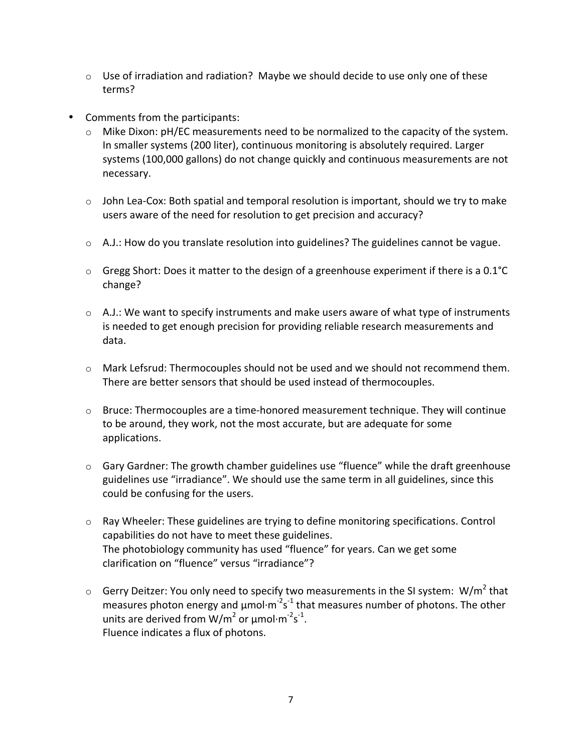- $\circ$  Use of irradiation and radiation? Maybe we should decide to use only one of these terms?
- Comments from the participants:
	- $\circ$  Mike Dixon: pH/EC measurements need to be normalized to the capacity of the system. In smaller systems (200 liter), continuous monitoring is absolutely required. Larger systems (100,000 gallons) do not change quickly and continuous measurements are not necessary.
	- $\circ$  John Lea-Cox: Both spatial and temporal resolution is important, should we try to make users aware of the need for resolution to get precision and accuracy?
	- $\circ$  A.J.: How do you translate resolution into guidelines? The guidelines cannot be vague.
	- $\circ$  Gregg Short: Does it matter to the design of a greenhouse experiment if there is a 0.1°C change?
	- $\circ$  A.J.: We want to specify instruments and make users aware of what type of instruments is needed to get enough precision for providing reliable research measurements and data.
	- $\circ$  Mark Lefsrud: Thermocouples should not be used and we should not recommend them. There are better sensors that should be used instead of thermocouples.
	- $\circ$  Bruce: Thermocouples are a time-honored measurement technique. They will continue to be around, they work, not the most accurate, but are adequate for some applications.
	- $\circ$  Gary Gardner: The growth chamber guidelines use "fluence" while the draft greenhouse guidelines use "irradiance". We should use the same term in all guidelines, since this could be confusing for the users.
	- $\circ$  Ray Wheeler: These guidelines are trying to define monitoring specifications. Control capabilities do not have to meet these guidelines. The photobiology community has used "fluence" for years. Can we get some clarification on "fluence" versus "irradiance"?
	- $\circ$  Gerry Deitzer: You only need to specify two measurements in the SI system: W/m<sup>2</sup> that measures photon energy and  $\mu$ mol $\cdot$ m<sup>-2</sup>s<sup>-1</sup> that measures number of photons. The other units are derived from W/m<sup>2</sup> or  $\mu$ mol·m<sup>-2</sup>s<sup>-1</sup>. Fluence indicates a flux of photons.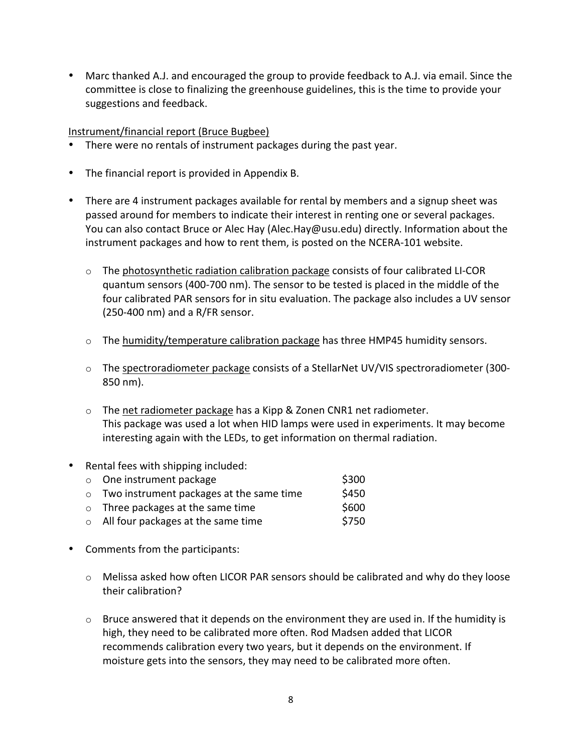• Marc thanked A.J. and encouraged the group to provide feedback to A.J. via email. Since the committee is close to finalizing the greenhouse guidelines, this is the time to provide your suggestions and feedback.

#### Instrument/financial report (Bruce Bugbee)

- There were no rentals of instrument packages during the past year.
- The financial report is provided in Appendix B.
- There are 4 instrument packages available for rental by members and a signup sheet was passed around for members to indicate their interest in renting one or several packages. You can also contact Bruce or Alec Hay (Alec.Hay@usu.edu) directly. Information about the instrument packages and how to rent them, is posted on the NCERA-101 website.
	- $\circ$  The photosynthetic radiation calibration package consists of four calibrated LI-COR quantum sensors (400-700 nm). The sensor to be tested is placed in the middle of the four calibrated PAR sensors for in situ evaluation. The package also includes a UV sensor  $(250-400 \text{ nm})$  and a R/FR sensor.
	- $\circ$  The humidity/temperature calibration package has three HMP45 humidity sensors.
	- $\circ$  The spectroradiometer package consists of a StellarNet UV/VIS spectroradiometer (300-850 nm).
	- $\circ$  The net radiometer package has a Kipp & Zonen CNR1 net radiometer. This package was used a lot when HID lamps were used in experiments. It may become interesting again with the LEDs, to get information on thermal radiation.
- Rental fees with shipping included:
	- o One instrument package  $\sim$  \$300  $\circ$  Two instrument packages at the same time  $\sim$  \$450  $\circ$  Three packages at the same time  $\sim$  \$600 o All four packages at the same time  $$750$
- Comments from the participants:
	- $\circ$  Melissa asked how often LICOR PAR sensors should be calibrated and why do they loose their calibration?
	- $\circ$  Bruce answered that it depends on the environment they are used in. If the humidity is high, they need to be calibrated more often. Rod Madsen added that LICOR recommends calibration every two years, but it depends on the environment. If moisture gets into the sensors, they may need to be calibrated more often.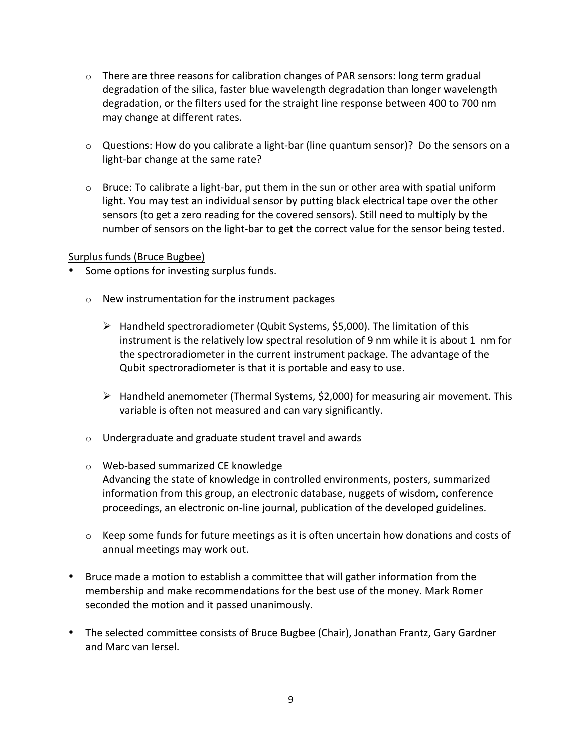- $\circ$  There are three reasons for calibration changes of PAR sensors: long term gradual degradation of the silica, faster blue wavelength degradation than longer wavelength degradation, or the filters used for the straight line response between 400 to 700 nm may change at different rates.
- $\circ$  Questions: How do you calibrate a light-bar (line quantum sensor)? Do the sensors on a light-bar change at the same rate?
- $\circ$  Bruce: To calibrate a light-bar, put them in the sun or other area with spatial uniform light. You may test an individual sensor by putting black electrical tape over the other sensors (to get a zero reading for the covered sensors). Still need to multiply by the number of sensors on the light-bar to get the correct value for the sensor being tested.

#### Surplus funds (Bruce Bugbee)

- Some options for investing surplus funds.
	- $\circ$  New instrumentation for the instrument packages
		- $\triangleright$  Handheld spectroradiometer (Qubit Systems, \$5,000). The limitation of this instrument is the relatively low spectral resolution of 9 nm while it is about 1 nm for the spectroradiometer in the current instrument package. The advantage of the Qubit spectroradiometer is that it is portable and easy to use.
		- $\triangleright$  Handheld anemometer (Thermal Systems, \$2,000) for measuring air movement. This variable is often not measured and can vary significantly.
	- $\circ$  Undergraduate and graduate student travel and awards
	- o Web-based summarized CE knowledge Advancing the state of knowledge in controlled environments, posters, summarized information from this group, an electronic database, nuggets of wisdom, conference proceedings, an electronic on-line journal, publication of the developed guidelines.
	- $\circ$  Keep some funds for future meetings as it is often uncertain how donations and costs of annual meetings may work out.
- Bruce made a motion to establish a committee that will gather information from the membership and make recommendations for the best use of the money. Mark Romer seconded the motion and it passed unanimously.
- The selected committee consists of Bruce Bugbee (Chair), Jonathan Frantz, Gary Gardner and Marc van Iersel.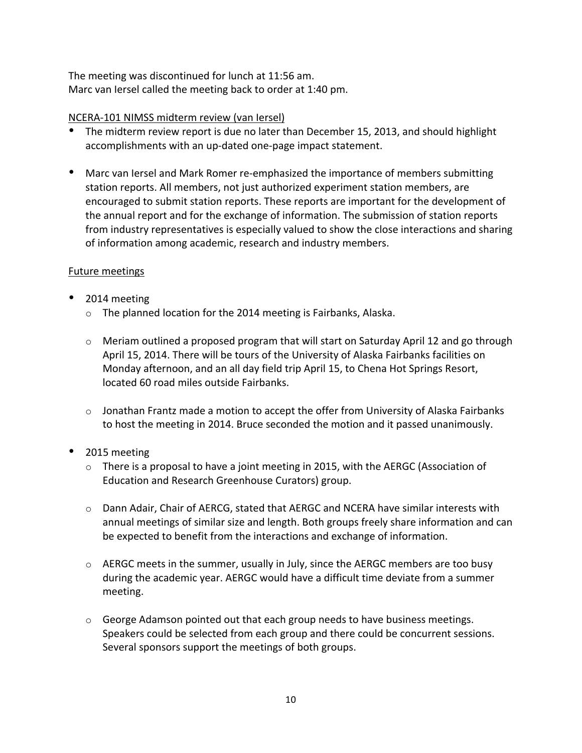The meeting was discontinued for lunch at 11:56 am. Marc van Iersel called the meeting back to order at 1:40 pm.

## NCERA-101 NIMSS midterm review (van Iersel)

- The midterm review report is due no later than December 15, 2013, and should highlight accomplishments with an up-dated one-page impact statement.
- Marc van Iersel and Mark Romer re-emphasized the importance of members submitting station reports. All members, not just authorized experiment station members, are encouraged to submit station reports. These reports are important for the development of the annual report and for the exchange of information. The submission of station reports from industry representatives is especially valued to show the close interactions and sharing of information among academic, research and industry members.

#### Future meetings

- 2014 meeting
	- $\circ$  The planned location for the 2014 meeting is Fairbanks, Alaska.
	- $\circ$  Meriam outlined a proposed program that will start on Saturday April 12 and go through April 15, 2014. There will be tours of the University of Alaska Fairbanks facilities on Monday afternoon, and an all day field trip April 15, to Chena Hot Springs Resort, located 60 road miles outside Fairbanks.
	- $\circ$  Jonathan Frantz made a motion to accept the offer from University of Alaska Fairbanks to host the meeting in 2014. Bruce seconded the motion and it passed unanimously.
- 2015 meeting
	- $\circ$  There is a proposal to have a joint meeting in 2015, with the AERGC (Association of Education and Research Greenhouse Curators) group.
	- $\circ$  Dann Adair, Chair of AERCG, stated that AERGC and NCERA have similar interests with annual meetings of similar size and length. Both groups freely share information and can be expected to benefit from the interactions and exchange of information.
	- $\circ$  AERGC meets in the summer, usually in July, since the AERGC members are too busy during the academic year. AERGC would have a difficult time deviate from a summer meeting.
	- $\circ$  George Adamson pointed out that each group needs to have business meetings. Speakers could be selected from each group and there could be concurrent sessions. Several sponsors support the meetings of both groups.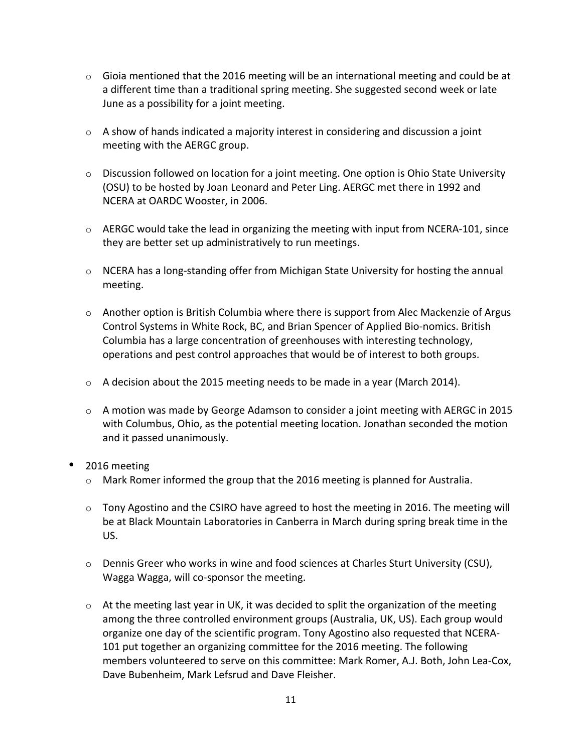- $\circ$  Gioia mentioned that the 2016 meeting will be an international meeting and could be at a different time than a traditional spring meeting. She suggested second week or late June as a possibility for a joint meeting.
- $\circ$  A show of hands indicated a majority interest in considering and discussion a joint meeting with the AERGC group.
- $\circ$  Discussion followed on location for a joint meeting. One option is Ohio State University (OSU) to be hosted by Joan Leonard and Peter Ling. AERGC met there in 1992 and NCERA at OARDC Wooster, in 2006.
- $\circ$  AERGC would take the lead in organizing the meeting with input from NCERA-101, since they are better set up administratively to run meetings.
- $\circ$  NCERA has a long-standing offer from Michigan State University for hosting the annual meeting.
- $\circ$  Another option is British Columbia where there is support from Alec Mackenzie of Argus Control Systems in White Rock, BC, and Brian Spencer of Applied Bio-nomics. British Columbia has a large concentration of greenhouses with interesting technology, operations and pest control approaches that would be of interest to both groups.
- $\circ$  A decision about the 2015 meeting needs to be made in a year (March 2014).
- $\circ$  A motion was made by George Adamson to consider a joint meeting with AERGC in 2015 with Columbus, Ohio, as the potential meeting location. Jonathan seconded the motion and it passed unanimously.
- 2016 meeting
	- $\circ$  Mark Romer informed the group that the 2016 meeting is planned for Australia.
	- $\circ$  Tony Agostino and the CSIRO have agreed to host the meeting in 2016. The meeting will be at Black Mountain Laboratories in Canberra in March during spring break time in the US.
	- $\circ$  Dennis Greer who works in wine and food sciences at Charles Sturt University (CSU), Wagga Wagga, will co-sponsor the meeting.
	- $\circ$  At the meeting last year in UK, it was decided to split the organization of the meeting among the three controlled environment groups (Australia, UK, US). Each group would organize one day of the scientific program. Tony Agostino also requested that NCERA-101 put together an organizing committee for the 2016 meeting. The following members volunteered to serve on this committee: Mark Romer, A.J. Both, John Lea-Cox, Dave Bubenheim, Mark Lefsrud and Dave Fleisher.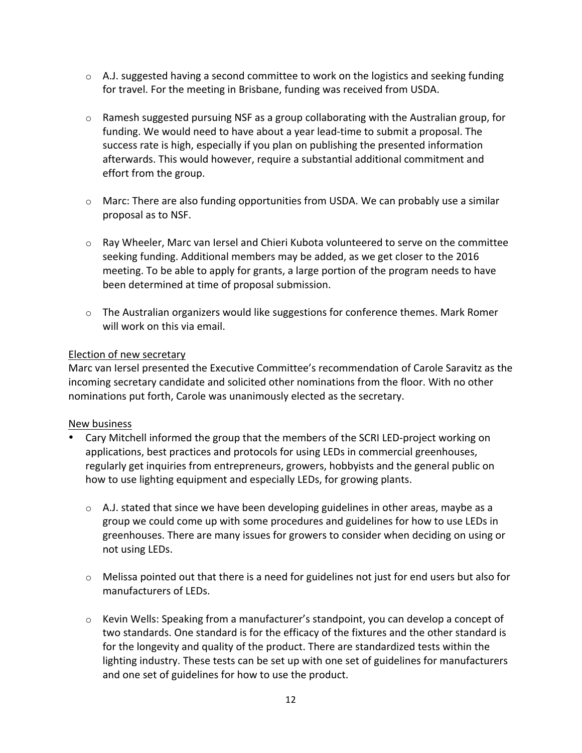- $\circ$  A.J. suggested having a second committee to work on the logistics and seeking funding for travel. For the meeting in Brisbane, funding was received from USDA.
- $\circ$  Ramesh suggested pursuing NSF as a group collaborating with the Australian group, for funding. We would need to have about a year lead-time to submit a proposal. The success rate is high, especially if you plan on publishing the presented information afterwards. This would however, require a substantial additional commitment and effort from the group.
- $\circ$  Marc: There are also funding opportunities from USDA. We can probably use a similar proposal as to NSF.
- $\circ$  Ray Wheeler, Marc van Iersel and Chieri Kubota volunteered to serve on the committee seeking funding. Additional members may be added, as we get closer to the 2016 meeting. To be able to apply for grants, a large portion of the program needs to have been determined at time of proposal submission.
- $\circ$  The Australian organizers would like suggestions for conference themes. Mark Romer will work on this via email.

#### Election of new secretary

Marc van Iersel presented the Executive Committee's recommendation of Carole Saravitz as the incoming secretary candidate and solicited other nominations from the floor. With no other nominations put forth, Carole was unanimously elected as the secretary.

## New business

- Cary Mitchell informed the group that the members of the SCRI LED-project working on applications, best practices and protocols for using LEDs in commercial greenhouses, regularly get inquiries from entrepreneurs, growers, hobbyists and the general public on how to use lighting equipment and especially LEDs, for growing plants.
	- $\circ$  A.J. stated that since we have been developing guidelines in other areas, maybe as a group we could come up with some procedures and guidelines for how to use LEDs in greenhouses. There are many issues for growers to consider when deciding on using or not using LEDs.
	- $\circ$  Melissa pointed out that there is a need for guidelines not just for end users but also for manufacturers of LEDs.
	- $\circ$  Kevin Wells: Speaking from a manufacturer's standpoint, you can develop a concept of two standards. One standard is for the efficacy of the fixtures and the other standard is for the longevity and quality of the product. There are standardized tests within the lighting industry. These tests can be set up with one set of guidelines for manufacturers and one set of guidelines for how to use the product.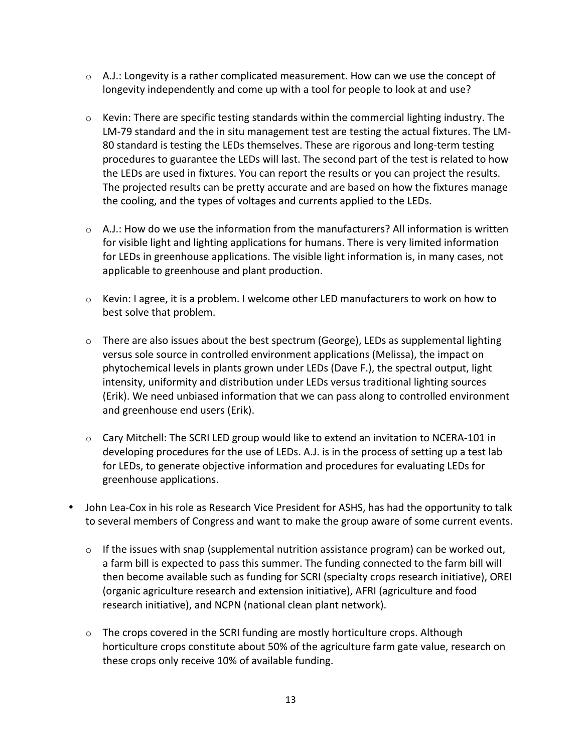- $\circ$  A.J.: Longevity is a rather complicated measurement. How can we use the concept of longevity independently and come up with a tool for people to look at and use?
- $\circ$  Kevin: There are specific testing standards within the commercial lighting industry. The LM-79 standard and the in situ management test are testing the actual fixtures. The LM-80 standard is testing the LEDs themselves. These are rigorous and long-term testing procedures to guarantee the LEDs will last. The second part of the test is related to how the LEDs are used in fixtures. You can report the results or you can project the results. The projected results can be pretty accurate and are based on how the fixtures manage the cooling, and the types of voltages and currents applied to the LEDs.
- $\circ$  A.J.: How do we use the information from the manufacturers? All information is written for visible light and lighting applications for humans. There is very limited information for LEDs in greenhouse applications. The visible light information is, in many cases, not applicable to greenhouse and plant production.
- $\circ$  Kevin: I agree, it is a problem. I welcome other LED manufacturers to work on how to best solve that problem.
- $\circ$  There are also issues about the best spectrum (George), LEDs as supplemental lighting versus sole source in controlled environment applications (Melissa), the impact on phytochemical levels in plants grown under LEDs (Dave F.), the spectral output, light intensity, uniformity and distribution under LEDs versus traditional lighting sources (Erik). We need unbiased information that we can pass along to controlled environment and greenhouse end users (Erik).
- $\circ$  Cary Mitchell: The SCRI LED group would like to extend an invitation to NCERA-101 in developing procedures for the use of LEDs. A.J. is in the process of setting up a test lab for LEDs, to generate objective information and procedures for evaluating LEDs for greenhouse applications.
- John Lea-Cox in his role as Research Vice President for ASHS, has had the opportunity to talk to several members of Congress and want to make the group aware of some current events.
	- $\circ$  If the issues with snap (supplemental nutrition assistance program) can be worked out, a farm bill is expected to pass this summer. The funding connected to the farm bill will then become available such as funding for SCRI (specialty crops research initiative), OREI (organic agriculture research and extension initiative), AFRI (agriculture and food research initiative), and NCPN (national clean plant network).
	- $\circ$  The crops covered in the SCRI funding are mostly horticulture crops. Although horticulture crops constitute about 50% of the agriculture farm gate value, research on these crops only receive 10% of available funding.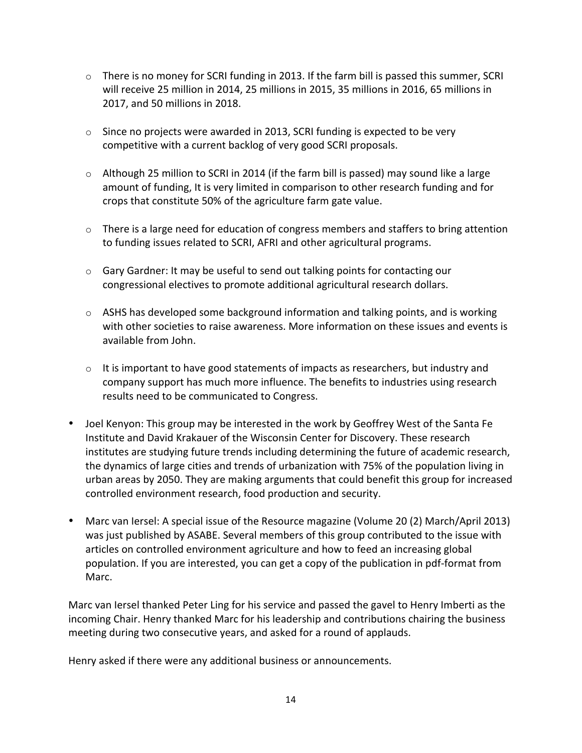- $\circ$  There is no money for SCRI funding in 2013. If the farm bill is passed this summer, SCRI will receive 25 million in 2014, 25 millions in 2015, 35 millions in 2016, 65 millions in 2017, and 50 millions in 2018.
- $\circ$  Since no projects were awarded in 2013, SCRI funding is expected to be very competitive with a current backlog of very good SCRI proposals.
- $\circ$  Although 25 million to SCRI in 2014 (if the farm bill is passed) may sound like a large amount of funding, It is very limited in comparison to other research funding and for crops that constitute 50% of the agriculture farm gate value.
- $\circ$  There is a large need for education of congress members and staffers to bring attention to funding issues related to SCRI, AFRI and other agricultural programs.
- $\circ$  Gary Gardner: It may be useful to send out talking points for contacting our congressional electives to promote additional agricultural research dollars.
- $\circ$  ASHS has developed some background information and talking points, and is working with other societies to raise awareness. More information on these issues and events is available from John.
- $\circ$  It is important to have good statements of impacts as researchers, but industry and company support has much more influence. The benefits to industries using research results need to be communicated to Congress.
- Joel Kenyon: This group may be interested in the work by Geoffrey West of the Santa Fe" Institute and David Krakauer of the Wisconsin Center for Discovery. These research institutes are studying future trends including determining the future of academic research, the dynamics of large cities and trends of urbanization with 75% of the population living in urban areas by 2050. They are making arguments that could benefit this group for increased controlled environment research, food production and security.
- Marc van Iersel: A special issue of the Resource magazine (Volume 20 (2) March/April 2013) was just published by ASABE. Several members of this group contributed to the issue with articles on controlled environment agriculture and how to feed an increasing global population. If you are interested, you can get a copy of the publication in pdf-format from Marc.

Marc van Iersel thanked Peter Ling for his service and passed the gavel to Henry Imberti as the incoming Chair. Henry thanked Marc for his leadership and contributions chairing the business meeting during two consecutive years, and asked for a round of applauds.

Henry asked if there were any additional business or announcements.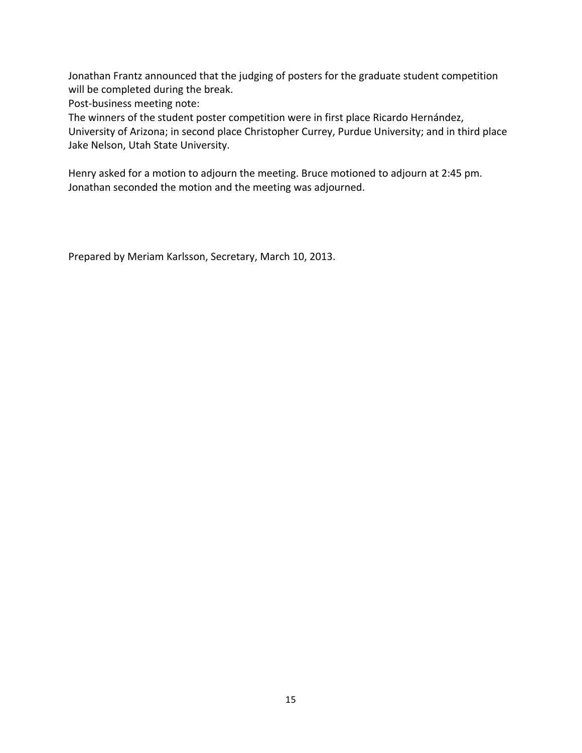Jonathan Frantz announced that the judging of posters for the graduate student competition will be completed during the break.

Post-business meeting note:

The winners of the student poster competition were in first place Ricardo Hernández, University of Arizona; in second place Christopher Currey, Purdue University; and in third place Jake Nelson, Utah State University.

Henry asked for a motion to adjourn the meeting. Bruce motioned to adjourn at 2:45 pm. Jonathan seconded the motion and the meeting was adjourned.

Prepared by Meriam Karlsson, Secretary, March 10, 2013.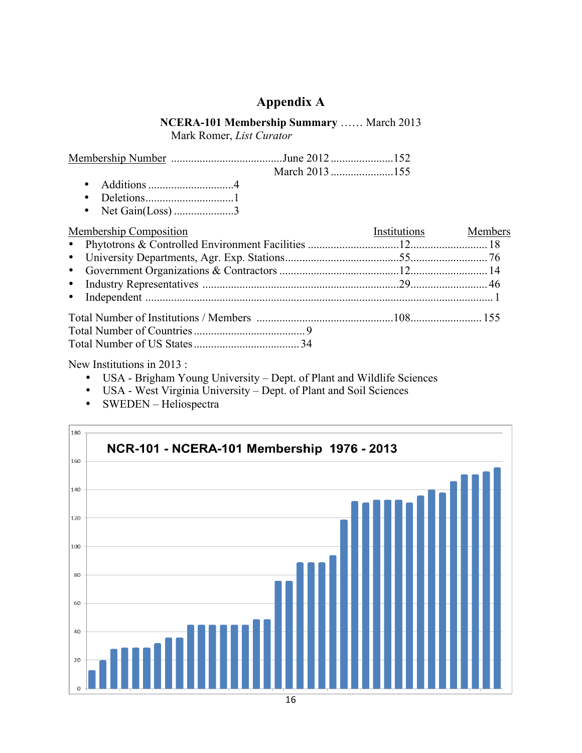# **Appendix A**

# **NCERA-101 Membership Summary** …… March 2013

Mark Romer, *List Curator*

- Additions..............................4
- Deletions...............................1
- Net Gain(Loss) .........................3

| Membership Composition | Institutions Members |  |
|------------------------|----------------------|--|
|                        |                      |  |
|                        |                      |  |
|                        |                      |  |
|                        |                      |  |
|                        |                      |  |
|                        |                      |  |
|                        |                      |  |
|                        |                      |  |

New Institutions in 2013 :

- USA Brigham Young University Dept. of Plant and Wildlife Sciences
- USA West Virginia University Dept. of Plant and Soil Sciences
- SWEDEN Heliospectra